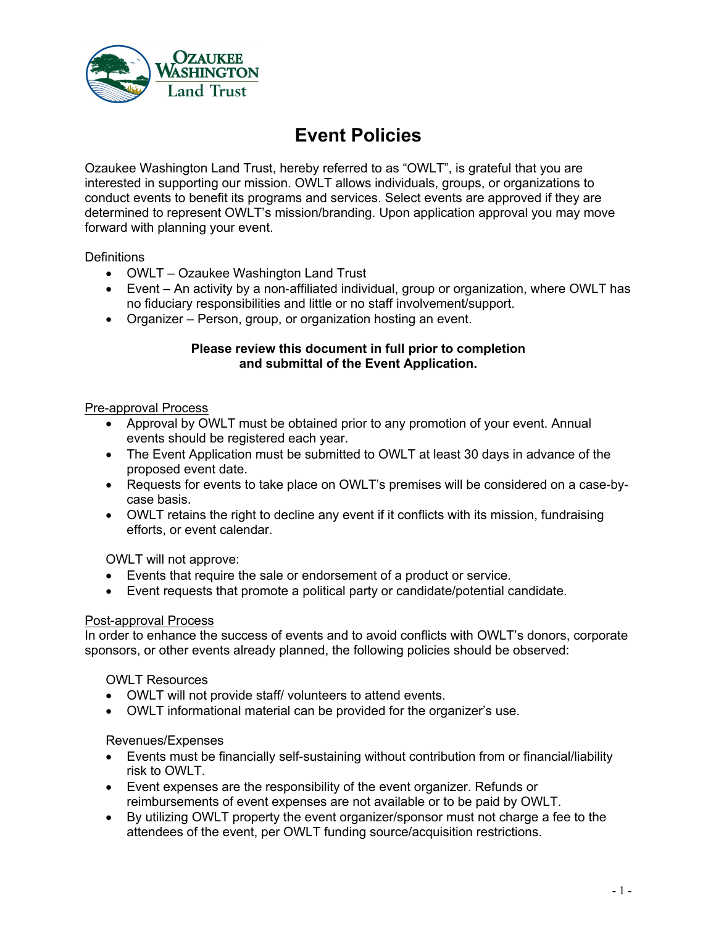

# **Event Policies**

Ozaukee Washington Land Trust, hereby referred to as "OWLT", is grateful that you are interested in supporting our mission. OWLT allows individuals, groups, or organizations to conduct events to benefit its programs and services. Select events are approved if they are determined to represent OWLT's mission/branding. Upon application approval you may move forward with planning your event.

**Definitions** 

- OWLT Ozaukee Washington Land Trust
- Event An activity by a non-affiliated individual, group or organization, where OWLT has no fiduciary responsibilities and little or no staff involvement/support.
- Organizer Person, group, or organization hosting an event.

#### **Please review this document in full prior to completion and submittal of the Event Application.**

### Pre-approval Process

- Approval by OWLT must be obtained prior to any promotion of your event. Annual events should be registered each year.
- The Event Application must be submitted to OWLT at least 30 days in advance of the proposed event date.
- Requests for events to take place on OWLT's premises will be considered on a case-bycase basis.
- OWLT retains the right to decline any event if it conflicts with its mission, fundraising efforts, or event calendar.

OWLT will not approve:

- Events that require the sale or endorsement of a product or service.
- Event requests that promote a political party or candidate/potential candidate.

#### Post-approval Process

In order to enhance the success of events and to avoid conflicts with OWLT's donors, corporate sponsors, or other events already planned, the following policies should be observed:

#### OWLT Resources

- OWLT will not provide staff/ volunteers to attend events.
- OWLT informational material can be provided for the organizer's use.

#### Revenues/Expenses

- Events must be financially self-sustaining without contribution from or financial/liability risk to OWLT.
- Event expenses are the responsibility of the event organizer. Refunds or reimbursements of event expenses are not available or to be paid by OWLT.
- By utilizing OWLT property the event organizer/sponsor must not charge a fee to the attendees of the event, per OWLT funding source/acquisition restrictions.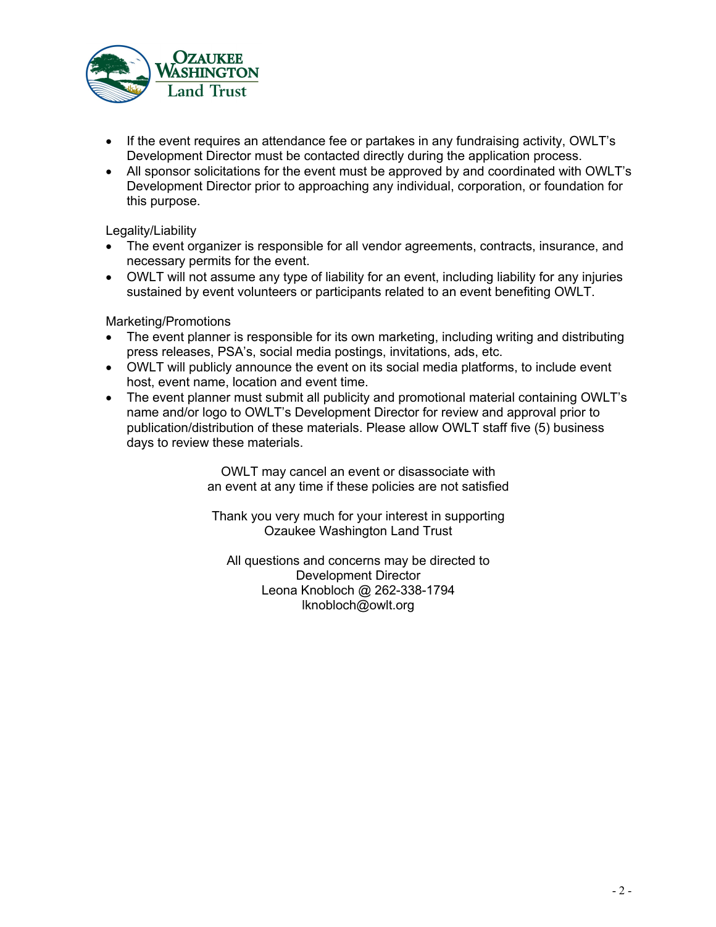

- If the event requires an attendance fee or partakes in any fundraising activity, OWLT's Development Director must be contacted directly during the application process.
- All sponsor solicitations for the event must be approved by and coordinated with OWLT's Development Director prior to approaching any individual, corporation, or foundation for this purpose.

Legality/Liability

- The event organizer is responsible for all vendor agreements, contracts, insurance, and necessary permits for the event.
- OWLT will not assume any type of liability for an event, including liability for any injuries sustained by event volunteers or participants related to an event benefiting OWLT.

Marketing/Promotions

- The event planner is responsible for its own marketing, including writing and distributing press releases, PSA's, social media postings, invitations, ads, etc.
- OWLT will publicly announce the event on its social media platforms, to include event host, event name, location and event time.
- The event planner must submit all publicity and promotional material containing OWLT's name and/or logo to OWLT's Development Director for review and approval prior to publication/distribution of these materials. Please allow OWLT staff five (5) business days to review these materials.

OWLT may cancel an event or disassociate with an event at any time if these policies are not satisfied

Thank you very much for your interest in supporting Ozaukee Washington Land Trust

All questions and concerns may be directed to Development Director Leona Knobloch @ 262-338-1794 lknobloch@owlt.org